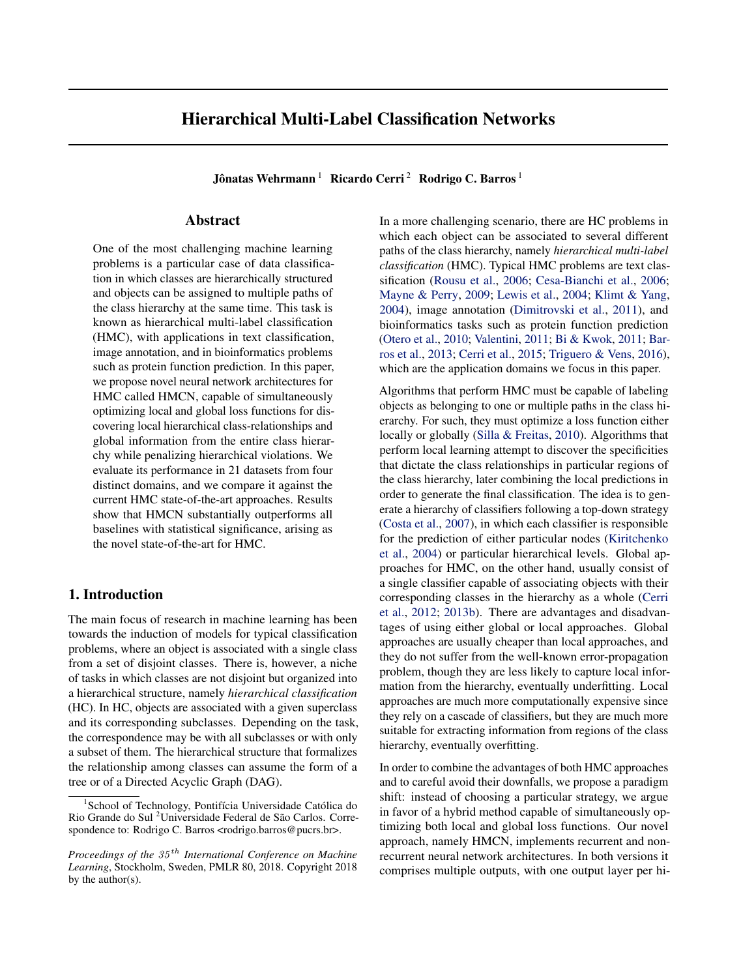# Hierarchical Multi-Label Classification Networks

Jônatas Wehrmann<sup>1</sup> Ricardo Cerri<sup>2</sup> Rodrigo C. Barros<sup>1</sup>

## Abstract

One of the most challenging machine learning problems is a particular case of data classification in which classes are hierarchically structured and objects can be assigned to multiple paths of the class hierarchy at the same time. This task is known as hierarchical multi-label classification (HMC), with applications in text classification, image annotation, and in bioinformatics problems such as protein function prediction. In this paper, we propose novel neural network architectures for HMC called HMCN, capable of simultaneously optimizing local and global loss functions for discovering local hierarchical class-relationships and global information from the entire class hierarchy while penalizing hierarchical violations. We evaluate its performance in 21 datasets from four distinct domains, and we compare it against the current HMC state-of-the-art approaches. Results show that HMCN substantially outperforms all baselines with statistical significance, arising as the novel state-of-the-art for HMC.

## 1. Introduction

The main focus of research in machine learning has been towards the induction of models for typical classification problems, where an object is associated with a single class from a set of disjoint classes. There is, however, a niche of tasks in which classes are not disjoint but organized into a hierarchical structure, namely *hierarchical classification* (HC). In HC, objects are associated with a given superclass and its corresponding subclasses. Depending on the task, the correspondence may be with all subclasses or with only a subset of them. The hierarchical structure that formalizes the relationship among classes can assume the form of a tree or of a Directed Acyclic Graph (DAG).

In a more challenging scenario, there are HC problems in which each object can be associated to several different paths of the class hierarchy, namely *hierarchical multi-label classification* (HMC). Typical HMC problems are text classification [\(Rousu et al.,](#page-9-0) [2006;](#page-9-0) [Cesa-Bianchi et al.,](#page-8-0) [2006;](#page-8-0) [Mayne & Perry,](#page-9-0) [2009;](#page-9-0) [Lewis et al.,](#page-9-0) [2004;](#page-9-0) [Klimt & Yang,](#page-9-0) [2004\)](#page-9-0), image annotation [\(Dimitrovski et al.,](#page-8-0) [2011\)](#page-8-0), and bioinformatics tasks such as protein function prediction [\(Otero et al.,](#page-9-0) [2010;](#page-9-0) [Valentini,](#page-9-0) [2011;](#page-9-0) [Bi & Kwok,](#page-8-0) [2011;](#page-8-0) [Bar](#page-8-0)[ros et al.,](#page-8-0) [2013;](#page-8-0) [Cerri et al.,](#page-8-0) [2015;](#page-8-0) [Triguero & Vens,](#page-9-0) [2016\)](#page-9-0), which are the application domains we focus in this paper.

Algorithms that perform HMC must be capable of labeling objects as belonging to one or multiple paths in the class hierarchy. For such, they must optimize a loss function either locally or globally [\(Silla & Freitas,](#page-9-0) [2010\)](#page-9-0). Algorithms that perform local learning attempt to discover the specificities that dictate the class relationships in particular regions of the class hierarchy, later combining the local predictions in order to generate the final classification. The idea is to generate a hierarchy of classifiers following a top-down strategy [\(Costa et al.,](#page-8-0) [2007\)](#page-8-0), in which each classifier is responsible for the prediction of either particular nodes [\(Kiritchenko](#page-8-0) [et al.,](#page-8-0) [2004\)](#page-8-0) or particular hierarchical levels. Global approaches for HMC, on the other hand, usually consist of a single classifier capable of associating objects with their corresponding classes in the hierarchy as a whole [\(Cerri](#page-8-0) [et al.,](#page-8-0) [2012;](#page-8-0) [2013b\)](#page-8-0). There are advantages and disadvantages of using either global or local approaches. Global approaches are usually cheaper than local approaches, and they do not suffer from the well-known error-propagation problem, though they are less likely to capture local information from the hierarchy, eventually underfitting. Local approaches are much more computationally expensive since they rely on a cascade of classifiers, but they are much more suitable for extracting information from regions of the class hierarchy, eventually overfitting.

In order to combine the advantages of both HMC approaches and to careful avoid their downfalls, we propose a paradigm shift: instead of choosing a particular strategy, we argue in favor of a hybrid method capable of simultaneously optimizing both local and global loss functions. Our novel approach, namely HMCN, implements recurrent and nonrecurrent neural network architectures. In both versions it comprises multiple outputs, with one output layer per hi-

<sup>1</sup> School of Technology, Pontifícia Universidade Católica do Rio Grande do Sul <sup>2</sup>Universidade Federal de São Carlos. Correspondence to: Rodrigo C. Barros <rodrigo.barros@pucrs.br>.

*Proceedings of the 35 th International Conference on Machine Learning*, Stockholm, Sweden, PMLR 80, 2018. Copyright 2018 by the author(s).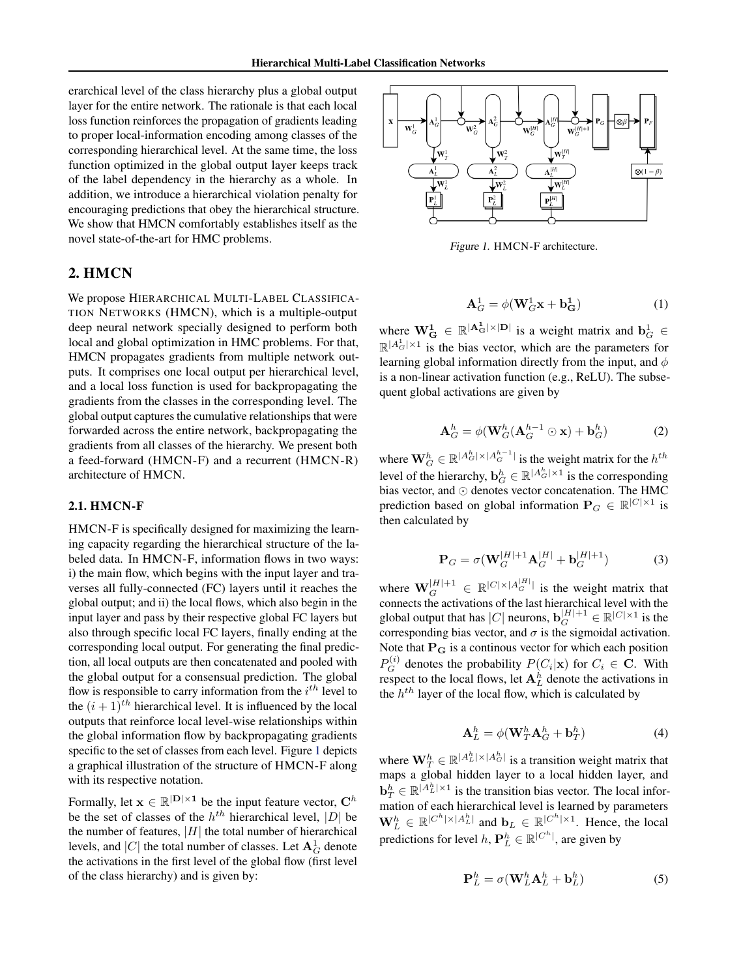erarchical level of the class hierarchy plus a global output layer for the entire network. The rationale is that each local loss function reinforces the propagation of gradients leading to proper local-information encoding among classes of the corresponding hierarchical level. At the same time, the loss function optimized in the global output layer keeps track of the label dependency in the hierarchy as a whole. In addition, we introduce a hierarchical violation penalty for encouraging predictions that obey the hierarchical structure. We show that HMCN comfortably establishes itself as the novel state-of-the-art for HMC problems.

# 2. HMCN

We propose HIERARCHICAL MULTI-LABEL CLASSIFICA-TION NETWORKS (HMCN), which is a multiple-output deep neural network specially designed to perform both local and global optimization in HMC problems. For that, HMCN propagates gradients from multiple network outputs. It comprises one local output per hierarchical level, and a local loss function is used for backpropagating the gradients from the classes in the corresponding level. The global output captures the cumulative relationships that were forwarded across the entire network, backpropagating the gradients from all classes of the hierarchy. We present both a feed-forward (HMCN-F) and a recurrent (HMCN-R) architecture of HMCN.

#### 2.1. HMCN-F

HMCN-F is specifically designed for maximizing the learning capacity regarding the hierarchical structure of the labeled data. In HMCN-F, information flows in two ways: i) the main flow, which begins with the input layer and traverses all fully-connected (FC) layers until it reaches the global output; and ii) the local flows, which also begin in the input layer and pass by their respective global FC layers but also through specific local FC layers, finally ending at the corresponding local output. For generating the final prediction, all local outputs are then concatenated and pooled with the global output for a consensual prediction. The global flow is responsible to carry information from the *i th* level to the  $(i + 1)^{th}$  hierarchical level. It is influenced by the local outputs that reinforce local level-wise relationships within the global information flow by backpropagating gradients specific to the set of classes from each level. Figure 1 depicts a graphical illustration of the structure of HMCN-F along with its respective notation.

Formally, let  $\mathbf{x} \in \mathbb{R}^{|\mathbf{D}| \times 1}$  be the input feature vector,  $\mathbf{C}^h$ be the set of classes of the  $h^{th}$  hierarchical level,  $|D|$  be the number of features,  $|H|$  the total number of hierarchical levels, and  $|C|$  the total number of classes. Let  $\mathbf{A}_G^1$  denote the activations in the first level of the global flow (first level of the class hierarchy) and is given by:



Figure 1. HMCN-F architecture.

$$
\mathbf{A}_G^1 = \phi(\mathbf{W}_G^1 \mathbf{x} + \mathbf{b}_\mathbf{G}^1) \tag{1}
$$

where  $\mathbf{W}_{\mathbf{G}}^1 \in \mathbb{R}^{|\mathbf{A}_{\mathbf{G}}^1| \times |\mathbf{D}|}$  is a weight matrix and  $\mathbf{b}_G^1 \in$  $\mathbb{R}^{|A_G^1| \times 1}$  is the bias vector, which are the parameters for learning global information directly from the input, and *φ* is a non-linear activation function (e.g., ReLU). The subsequent global activations are given by

$$
\mathbf{A}_G^h = \phi(\mathbf{W}_G^h(\mathbf{A}_G^{h-1} \odot \mathbf{x}) + \mathbf{b}_G^h)
$$
 (2)

where  $\mathbf{W}_{G}^{h} \in \mathbb{R}^{|A_{G}^{h}| \times |A_{G}^{h-1}|}$  is the weight matrix for the  $h^{th}$ level of the hierarchy,  $\mathbf{b}_G^h \in \mathbb{R}^{|A_G^h| \times 1}$  is the corresponding bias vector, and  $\odot$  denotes vector concatenation. The HMC prediction based on global information  $P_G \in \mathbb{R}^{|C| \times 1}$  is then calculated by

$$
\mathbf{P}_G = \sigma(\mathbf{W}_G^{|H|+1}\mathbf{A}_G^{|H|} + \mathbf{b}_G^{|H|+1})
$$
(3)

where  $\mathbf{W}_G^{|H|+1} \in \mathbb{R}^{|C| \times |A_G^{|H|}|}$  is the weight matrix that connects the activations of the last hierarchical level with the global output that has  $|C|$  neurons,  $\mathbf{b}_G^{|H|+1} \in \mathbb{R}^{|C| \times 1}$  is the corresponding bias vector, and  $\sigma$  is the sigmoidal activation. Note that  $P_G$  is a continuous vector for which each position  $P_G^{(i)}$  denotes the probability  $P(C_i|\mathbf{x})$  for  $C_i \in \mathbf{C}$ . With respect to the local flows, let  $A_L^h$  denote the activations in the *h th* layer of the local flow, which is calculated by

$$
\mathbf{A}_{L}^{h} = \phi(\mathbf{W}_{T}^{h}\mathbf{A}_{G}^{h} + \mathbf{b}_{T}^{h})
$$
(4)

where  $\mathbf{W}_T^h \in \mathbb{R}^{|A_L^h| \times |A_G^h|}$  is a transition weight matrix that maps a global hidden layer to a local hidden layer, and  $\mathbf{b}_T^h \in \mathbb{R}^{|A_L^h| \times 1}$  is the transition bias vector. The local information of each hierarchical level is learned by parameters  $\mathbf{W}_{L}^{h} \in \mathbb{R}^{|C^h| \times |A_L^h|}$  and  $\mathbf{b}_L \in \mathbb{R}^{|C^h| \times 1}$ . Hence, the local predictions for level  $h, \mathbf{P}_L^h \in \mathbb{R}^{|C^h|}$ , are given by

$$
\mathbf{P}_L^h = \sigma(\mathbf{W}_L^h \mathbf{A}_L^h + \mathbf{b}_L^h) \tag{5}
$$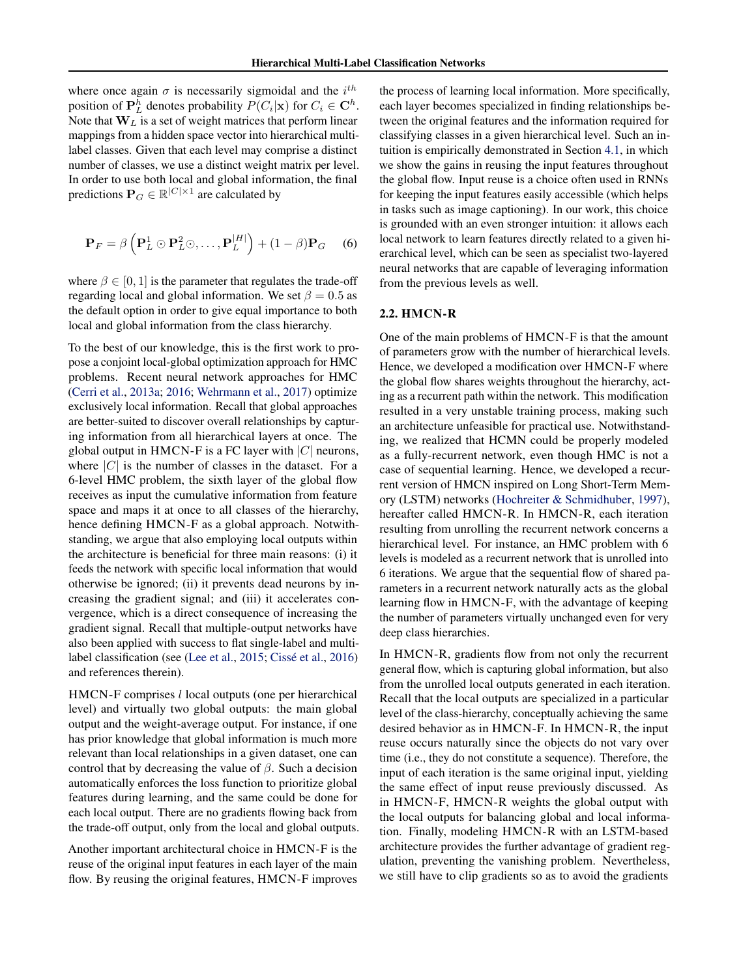where once again  $\sigma$  is necessarily sigmoidal and the  $i^{th}$ position of  $\mathbf{P}_L^h$  denotes probability  $P(C_i|\mathbf{x})$  for  $C_i \in \mathbf{C}^h$ . Note that **W***<sup>L</sup>* is a set of weight matrices that perform linear mappings from a hidden space vector into hierarchical multilabel classes. Given that each level may comprise a distinct number of classes, we use a distinct weight matrix per level. In order to use both local and global information, the final predictions  $P_G \in \mathbb{R}^{|C| \times 1}$  are calculated by

$$
\mathbf{P}_F = \beta \left( \mathbf{P}_L^1 \odot \mathbf{P}_L^2 \odot, \dots, \mathbf{P}_L^{|H|} \right) + (1 - \beta) \mathbf{P}_G \quad (6)
$$

where  $\beta \in [0, 1]$  is the parameter that regulates the trade-off regarding local and global information. We set  $\beta = 0.5$  as the default option in order to give equal importance to both local and global information from the class hierarchy.

To the best of our knowledge, this is the first work to propose a conjoint local-global optimization approach for HMC problems. Recent neural network approaches for HMC [\(Cerri et al.,](#page-8-0) [2013a;](#page-8-0) [2016;](#page-8-0) [Wehrmann et al.,](#page-9-0) [2017\)](#page-9-0) optimize exclusively local information. Recall that global approaches are better-suited to discover overall relationships by capturing information from all hierarchical layers at once. The global output in HMCN-F is a FC layer with |*C*| neurons, where  $|C|$  is the number of classes in the dataset. For a 6-level HMC problem, the sixth layer of the global flow receives as input the cumulative information from feature space and maps it at once to all classes of the hierarchy, hence defining HMCN-F as a global approach. Notwithstanding, we argue that also employing local outputs within the architecture is beneficial for three main reasons: (i) it feeds the network with specific local information that would otherwise be ignored; (ii) it prevents dead neurons by increasing the gradient signal; and (iii) it accelerates convergence, which is a direct consequence of increasing the gradient signal. Recall that multiple-output networks have also been applied with success to flat single-label and multilabel classification (see [\(Lee et al.,](#page-9-0) [2015;](#page-9-0) [Cissé et al.,](#page-8-0) [2016\)](#page-8-0) and references therein).

HMCN-F comprises *l* local outputs (one per hierarchical level) and virtually two global outputs: the main global output and the weight-average output. For instance, if one has prior knowledge that global information is much more relevant than local relationships in a given dataset, one can control that by decreasing the value of *β*. Such a decision automatically enforces the loss function to prioritize global features during learning, and the same could be done for each local output. There are no gradients flowing back from the trade-off output, only from the local and global outputs.

Another important architectural choice in HMCN-F is the reuse of the original input features in each layer of the main flow. By reusing the original features, HMCN-F improves the process of learning local information. More specifically, each layer becomes specialized in finding relationships between the original features and the information required for classifying classes in a given hierarchical level. Such an intuition is empirically demonstrated in Section [4.1,](#page-5-0) in which we show the gains in reusing the input features throughout the global flow. Input reuse is a choice often used in RNNs for keeping the input features easily accessible (which helps in tasks such as image captioning). In our work, this choice is grounded with an even stronger intuition: it allows each local network to learn features directly related to a given hierarchical level, which can be seen as specialist two-layered neural networks that are capable of leveraging information from the previous levels as well.

#### 2.2. HMCN-R

One of the main problems of HMCN-F is that the amount of parameters grow with the number of hierarchical levels. Hence, we developed a modification over HMCN-F where the global flow shares weights throughout the hierarchy, acting as a recurrent path within the network. This modification resulted in a very unstable training process, making such an architecture unfeasible for practical use. Notwithstanding, we realized that HCMN could be properly modeled as a fully-recurrent network, even though HMC is not a case of sequential learning. Hence, we developed a recurrent version of HMCN inspired on Long Short-Term Memory (LSTM) networks [\(Hochreiter & Schmidhuber,](#page-8-0) [1997\)](#page-8-0), hereafter called HMCN-R. In HMCN-R, each iteration resulting from unrolling the recurrent network concerns a hierarchical level. For instance, an HMC problem with 6 levels is modeled as a recurrent network that is unrolled into 6 iterations. We argue that the sequential flow of shared parameters in a recurrent network naturally acts as the global learning flow in HMCN-F, with the advantage of keeping the number of parameters virtually unchanged even for very deep class hierarchies.

In HMCN-R, gradients flow from not only the recurrent general flow, which is capturing global information, but also from the unrolled local outputs generated in each iteration. Recall that the local outputs are specialized in a particular level of the class-hierarchy, conceptually achieving the same desired behavior as in HMCN-F. In HMCN-R, the input reuse occurs naturally since the objects do not vary over time (i.e., they do not constitute a sequence). Therefore, the input of each iteration is the same original input, yielding the same effect of input reuse previously discussed. As in HMCN-F, HMCN-R weights the global output with the local outputs for balancing global and local information. Finally, modeling HMCN-R with an LSTM-based architecture provides the further advantage of gradient regulation, preventing the vanishing problem. Nevertheless, we still have to clip gradients so as to avoid the gradients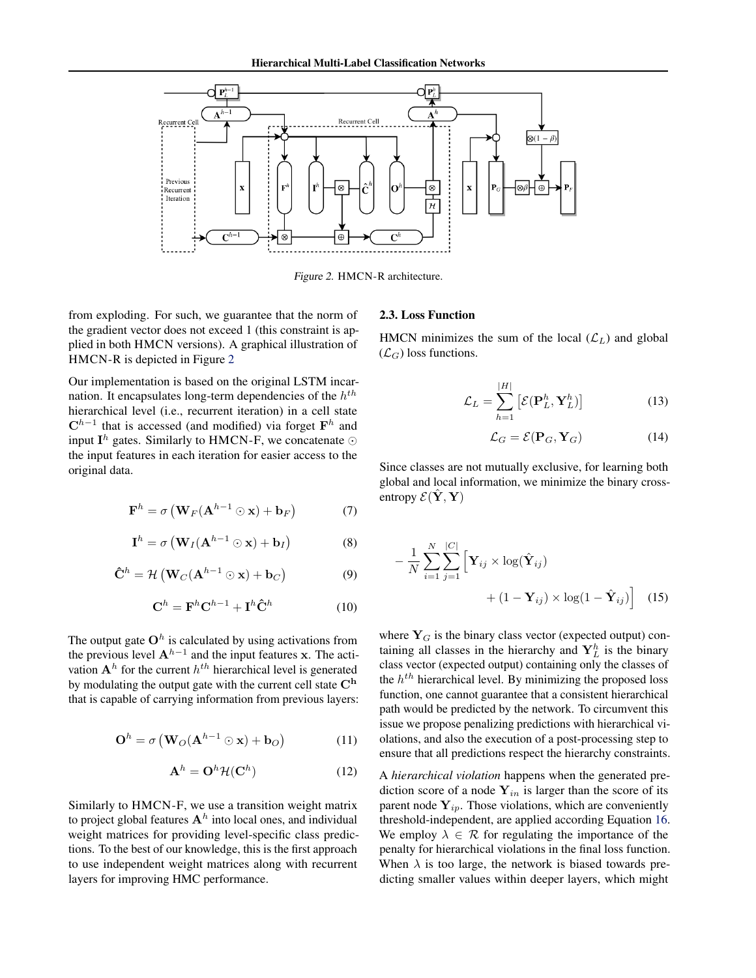<span id="page-3-0"></span>

Figure 2. HMCN-R architecture.

from exploding. For such, we guarantee that the norm of the gradient vector does not exceed 1 (this constraint is applied in both HMCN versions). A graphical illustration of HMCN-R is depicted in Figure 2

Our implementation is based on the original LSTM incarnation. It encapsulates long-term dependencies of the *h th* hierarchical level (i.e., recurrent iteration) in a cell state **C***h*−<sup>1</sup> that is accessed (and modified) via forget **F** *h* and input  $I^h$  gates. Similarly to HMCN-F, we concatenate  $\odot$ the input features in each iteration for easier access to the original data.

$$
\mathbf{F}^{h} = \sigma \left( \mathbf{W}_{F}(\mathbf{A}^{h-1} \odot \mathbf{x}) + \mathbf{b}_{F} \right) \tag{7}
$$

$$
\mathbf{I}^{h} = \sigma \left( \mathbf{W}_{I} (\mathbf{A}^{h-1} \odot \mathbf{x}) + \mathbf{b}_{I} \right)
$$
 (8)

$$
\hat{\mathbf{C}}^{h} = \mathcal{H}\left(\mathbf{W}_{C}(\mathbf{A}^{h-1} \odot \mathbf{x}) + \mathbf{b}_{C}\right)
$$
(9)

$$
\mathbf{C}^h = \mathbf{F}^h \mathbf{C}^{h-1} + \mathbf{I}^h \hat{\mathbf{C}}^h \tag{10}
$$

The output gate  $O^h$  is calculated by using activations from the previous level  $A^{h-1}$  and the input features **x**. The activation  $A<sup>h</sup>$  for the current  $h<sup>th</sup>$  hierarchical level is generated by modulating the output gate with the current cell state **C<sup>h</sup>** that is capable of carrying information from previous layers:

$$
\mathbf{O}^{h} = \sigma \left( \mathbf{W}_{O}(\mathbf{A}^{h-1} \odot \mathbf{x}) + \mathbf{b}_{O} \right)
$$
 (11)

$$
\mathbf{A}^h = \mathbf{O}^h \mathcal{H}(\mathbf{C}^h) \tag{12}
$$

Similarly to HMCN-F, we use a transition weight matrix to project global features **A***<sup>h</sup>* into local ones, and individual weight matrices for providing level-specific class predictions. To the best of our knowledge, this is the first approach to use independent weight matrices along with recurrent layers for improving HMC performance.

#### 2.3. Loss Function

HMCN minimizes the sum of the local  $(\mathcal{L}_L)$  and global  $(\mathcal{L}_G)$  loss functions.

$$
\mathcal{L}_L = \sum_{h=1}^{|H|} \left[ \mathcal{E}(\mathbf{P}_L^h, \mathbf{Y}_L^h) \right] \tag{13}
$$

$$
\mathcal{L}_G = \mathcal{E}(\mathbf{P}_G, \mathbf{Y}_G) \tag{14}
$$

Since classes are not mutually exclusive, for learning both global and local information, we minimize the binary crossentropy  $\mathcal{E}(\tilde{\mathbf{Y}}, \mathbf{Y})$ 

$$
-\frac{1}{N} \sum_{i=1}^{N} \sum_{j=1}^{|C|} \left[ \mathbf{Y}_{ij} \times \log(\hat{\mathbf{Y}}_{ij}) + (1 - \mathbf{Y}_{ij}) \times \log(1 - \hat{\mathbf{Y}}_{ij}) \right]
$$
(15)

where  $Y_G$  is the binary class vector (expected output) containing all classes in the hierarchy and  $Y_L^h$  is the binary class vector (expected output) containing only the classes of the *h th* hierarchical level. By minimizing the proposed loss function, one cannot guarantee that a consistent hierarchical path would be predicted by the network. To circumvent this issue we propose penalizing predictions with hierarchical violations, and also the execution of a post-processing step to ensure that all predictions respect the hierarchy constraints.

A *hierarchical violation* happens when the generated prediction score of a node  $Y_{in}$  is larger than the score of its parent node **Y***ip*. Those violations, which are conveniently threshold-independent, are applied according Equation [16.](#page-4-0) We employ  $\lambda \in \mathcal{R}$  for regulating the importance of the penalty for hierarchical violations in the final loss function. When  $\lambda$  is too large, the network is biased towards predicting smaller values within deeper layers, which might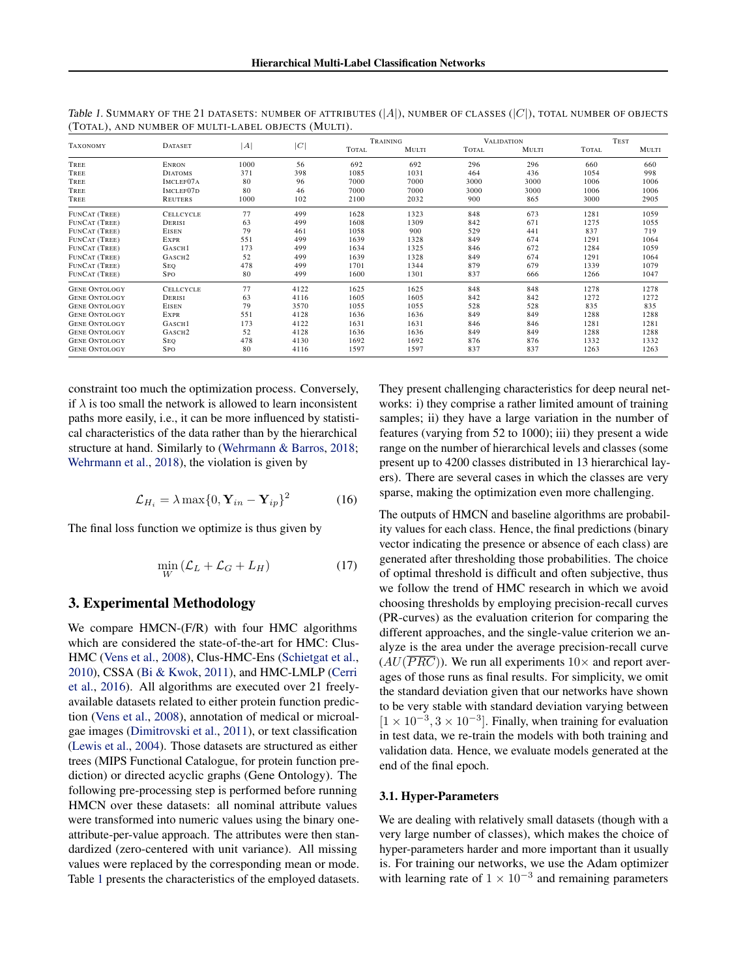| <b>TAXONOMY</b>      | <b>DATASET</b>         | A    | C    | TRAINING     |       | <b>VALIDATION</b> |       |              | <b>TEST</b> |  |
|----------------------|------------------------|------|------|--------------|-------|-------------------|-------|--------------|-------------|--|
|                      |                        |      |      | <b>TOTAL</b> | MULTI | <b>TOTAL</b>      | MULTI | <b>TOTAL</b> | MULTI       |  |
| TREE                 | <b>ENRON</b>           | 1000 | 56   | 692          | 692   | 296               | 296   | 660          | 660         |  |
| TREE                 | <b>DIATOMS</b>         | 371  | 398  | 1085         | 1031  | 464               | 436   | 1054         | 998         |  |
| TREE                 | IMCLEF <sub>07</sub> A | 80   | 96   | 7000         | 7000  | 3000              | 3000  | 1006         | 1006        |  |
| TREE                 | IMCLEF07D              | 80   | 46   | 7000         | 7000  | 3000              | 3000  | 1006         | 1006        |  |
| TREE                 | REUTERS                | 1000 | 102  | 2100         | 2032  | 900               | 865   | 3000         | 2905        |  |
| FUNCAT (TREE)        | <b>CELLCYCLE</b>       | 77   | 499  | 1628         | 1323  | 848               | 673   | 1281         | 1059        |  |
| FUNCAT (TREE)        | DERISI                 | 63   | 499  | 1608         | 1309  | 842               | 671   | 1275         | 1055        |  |
| FUNCAT (TREE)        | <b>EISEN</b>           | 79   | 461  | 1058         | 900   | 529               | 441   | 837          | 719         |  |
| FUNCAT (TREE)        | EXPR                   | 551  | 499  | 1639         | 1328  | 849               | 674   | 1291         | 1064        |  |
| FUNCAT (TREE)        | GASCH1                 | 173  | 499  | 1634         | 1325  | 846               | 672   | 1284         | 1059        |  |
| FUNCAT (TREE)        | GASCH <sub>2</sub>     | 52   | 499  | 1639         | 1328  | 849               | 674   | 1291         | 1064        |  |
| FUNCAT (TREE)        | <b>SEQ</b>             | 478  | 499  | 1701         | 1344  | 879               | 679   | 1339         | 1079        |  |
| <b>FUNCAT (TREE)</b> | <b>SPO</b>             | 80   | 499  | 1600         | 1301  | 837               | 666   | 1266         | 1047        |  |
| <b>GENE ONTOLOGY</b> | <b>CELLCYCLE</b>       | 77   | 4122 | 1625         | 1625  | 848               | 848   | 1278         | 1278        |  |
| <b>GENE ONTOLOGY</b> | DERISI                 | 63   | 4116 | 1605         | 1605  | 842               | 842   | 1272         | 1272        |  |
| <b>GENE ONTOLOGY</b> | <b>EISEN</b>           | 79   | 3570 | 1055         | 1055  | 528               | 528   | 835          | 835         |  |
| <b>GENE ONTOLOGY</b> | EXPR                   | 551  | 4128 | 1636         | 1636  | 849               | 849   | 1288         | 1288        |  |
| <b>GENE ONTOLOGY</b> | GASCH1                 | 173  | 4122 | 1631         | 1631  | 846               | 846   | 1281         | 1281        |  |
| <b>GENE ONTOLOGY</b> | GASCH <sub>2</sub>     | 52   | 4128 | 1636         | 1636  | 849               | 849   | 1288         | 1288        |  |
| <b>GENE ONTOLOGY</b> | <b>SEQ</b>             | 478  | 4130 | 1692         | 1692  | 876               | 876   | 1332         | 1332        |  |
| <b>GENE ONTOLOGY</b> | <b>SPO</b>             | 80   | 4116 | 1597         | 1597  | 837               | 837   | 1263         | 1263        |  |

<span id="page-4-0"></span>Table 1. SUMMARY OF THE 21 DATASETS: NUMBER OF ATTRIBUTES (|*A*|), NUMBER OF CLASSES (|*C*|), TOTAL NUMBER OF OBJECTS (TOTAL), AND NUMBER OF MULTI-LABEL OBJECTS (MULTI).

constraint too much the optimization process. Conversely, if  $\lambda$  is too small the network is allowed to learn inconsistent paths more easily, i.e., it can be more influenced by statistical characteristics of the data rather than by the hierarchical structure at hand. Similarly to [\(Wehrmann & Barros,](#page-9-0) [2018;](#page-9-0) [Wehrmann et al.,](#page-9-0) [2018\)](#page-9-0), the violation is given by

$$
\mathcal{L}_{H_i} = \lambda \max\{0, \mathbf{Y}_{in} - \mathbf{Y}_{ip}\}^2
$$
 (16)

The final loss function we optimize is thus given by

$$
\min_{W} (\mathcal{L}_L + \mathcal{L}_G + L_H) \tag{17}
$$

## 3. Experimental Methodology

We compare HMCN-(F/R) with four HMC algorithms which are considered the state-of-the-art for HMC: Clus-HMC [\(Vens et al.,](#page-9-0) [2008\)](#page-9-0), Clus-HMC-Ens [\(Schietgat et al.,](#page-9-0) [2010\)](#page-9-0), CSSA [\(Bi & Kwok,](#page-8-0) [2011\)](#page-8-0), and HMC-LMLP [\(Cerri](#page-8-0) [et al.,](#page-8-0) [2016\)](#page-8-0). All algorithms are executed over 21 freelyavailable datasets related to either protein function prediction [\(Vens et al.,](#page-9-0) [2008\)](#page-9-0), annotation of medical or microalgae images [\(Dimitrovski et al.,](#page-8-0) [2011\)](#page-8-0), or text classification [\(Lewis et al.,](#page-9-0) [2004\)](#page-9-0). Those datasets are structured as either trees (MIPS Functional Catalogue, for protein function prediction) or directed acyclic graphs (Gene Ontology). The following pre-processing step is performed before running HMCN over these datasets: all nominal attribute values were transformed into numeric values using the binary oneattribute-per-value approach. The attributes were then standardized (zero-centered with unit variance). All missing values were replaced by the corresponding mean or mode. Table 1 presents the characteristics of the employed datasets. They present challenging characteristics for deep neural networks: i) they comprise a rather limited amount of training samples; ii) they have a large variation in the number of features (varying from 52 to 1000); iii) they present a wide range on the number of hierarchical levels and classes (some present up to 4200 classes distributed in 13 hierarchical layers). There are several cases in which the classes are very sparse, making the optimization even more challenging.

The outputs of HMCN and baseline algorithms are probability values for each class. Hence, the final predictions (binary vector indicating the presence or absence of each class) are generated after thresholding those probabilities. The choice of optimal threshold is difficult and often subjective, thus we follow the trend of HMC research in which we avoid choosing thresholds by employing precision-recall curves (PR-curves) as the evaluation criterion for comparing the different approaches, and the single-value criterion we analyze is the area under the average precision-recall curve  $(AU(\overline{PRC}))$ . We run all experiments  $10\times$  and report averages of those runs as final results. For simplicity, we omit the standard deviation given that our networks have shown to be very stable with standard deviation varying between  $[1 \times 10^{-3}, 3 \times 10^{-3}]$ . Finally, when training for evaluation in test data, we re-train the models with both training and validation data. Hence, we evaluate models generated at the end of the final epoch.

#### 3.1. Hyper-Parameters

We are dealing with relatively small datasets (though with a very large number of classes), which makes the choice of hyper-parameters harder and more important than it usually is. For training our networks, we use the Adam optimizer with learning rate of  $1 \times 10^{-3}$  and remaining parameters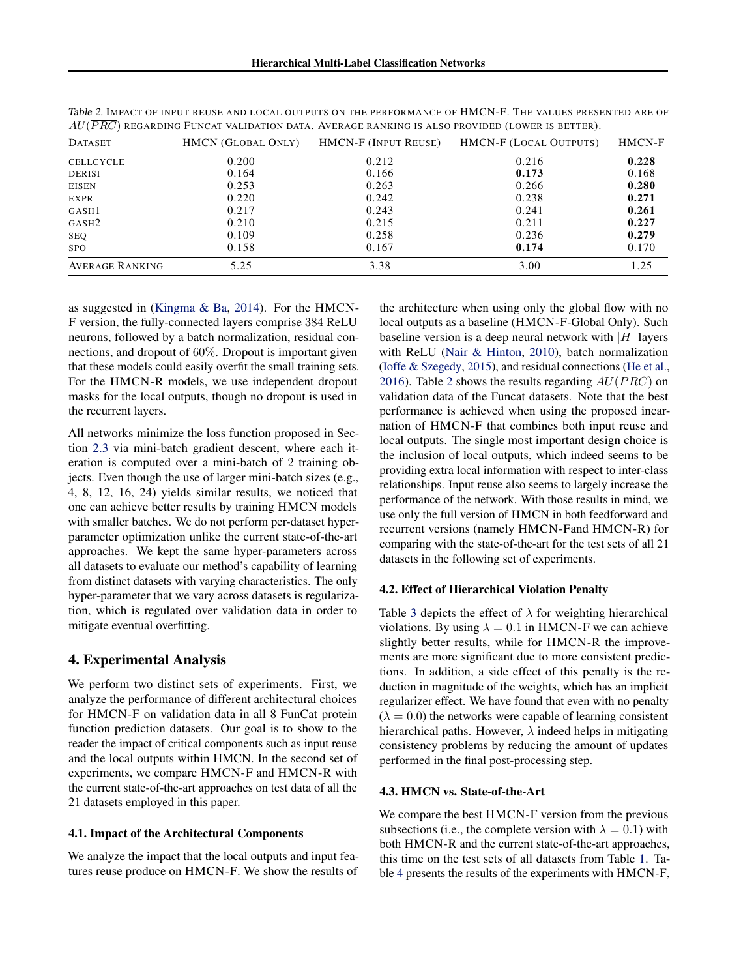| <b>DATASET</b>         | <b>HMCN</b> (GLOBAL ONLY) | HMCN-F (INPUT REUSE) | HMCN-F (LOCAL OUTPUTS) | HMCN-F |
|------------------------|---------------------------|----------------------|------------------------|--------|
| <b>CELLCYCLE</b>       | 0.200                     | 0.212                | 0.216                  | 0.228  |
| <b>DERISI</b>          | 0.164                     | 0.166                | 0.173                  | 0.168  |
| <b>EISEN</b>           | 0.253                     | 0.263                | 0.266                  | 0.280  |
| EXPR                   | 0.220                     | 0.242                | 0.238                  | 0.271  |
| GASH <sub>1</sub>      | 0.217                     | 0.243                | 0.241                  | 0.261  |
| GASH <sub>2</sub>      | 0.210                     | 0.215                | 0.211                  | 0.227  |
| <b>SEQ</b>             | 0.109                     | 0.258                | 0.236                  | 0.279  |
| <b>SPO</b>             | 0.158                     | 0.167                | 0.174                  | 0.170  |
| <b>AVERAGE RANKING</b> | 5.25                      | 3.38                 | 3.00                   | 1.25   |

<span id="page-5-0"></span>Table 2. IMPACT OF INPUT REUSE AND LOCAL OUTPUTS ON THE PERFORMANCE OF HMCN-F. THE VALUES PRESENTED ARE OF *AU*(*P RC*) REGARDING FUNCAT VALIDATION DATA. AVERAGE RANKING IS ALSO PROVIDED (LOWER IS BETTER).

as suggested in [\(Kingma & Ba,](#page-8-0) [2014\)](#page-8-0). For the HMCN-F version, the fully-connected layers comprise 384 ReLU neurons, followed by a batch normalization, residual connections, and dropout of 60%. Dropout is important given that these models could easily overfit the small training sets. For the HMCN-R models, we use independent dropout masks for the local outputs, though no dropout is used in the recurrent layers.

All networks minimize the loss function proposed in Section [2.3](#page-3-0) via mini-batch gradient descent, where each iteration is computed over a mini-batch of 2 training objects. Even though the use of larger mini-batch sizes (e.g., 4, 8, 12, 16, 24) yields similar results, we noticed that one can achieve better results by training HMCN models with smaller batches. We do not perform per-dataset hyperparameter optimization unlike the current state-of-the-art approaches. We kept the same hyper-parameters across all datasets to evaluate our method's capability of learning from distinct datasets with varying characteristics. The only hyper-parameter that we vary across datasets is regularization, which is regulated over validation data in order to mitigate eventual overfitting.

#### 4. Experimental Analysis

We perform two distinct sets of experiments. First, we analyze the performance of different architectural choices for HMCN-F on validation data in all 8 FunCat protein function prediction datasets. Our goal is to show to the reader the impact of critical components such as input reuse and the local outputs within HMCN. In the second set of experiments, we compare HMCN-F and HMCN-R with the current state-of-the-art approaches on test data of all the 21 datasets employed in this paper.

#### 4.1. Impact of the Architectural Components

We analyze the impact that the local outputs and input features reuse produce on HMCN-F. We show the results of the architecture when using only the global flow with no local outputs as a baseline (HMCN-F-Global Only). Such baseline version is a deep neural network with |*H*| layers with ReLU [\(Nair & Hinton,](#page-9-0) [2010\)](#page-9-0), batch normalization [\(Ioffe & Szegedy,](#page-8-0) [2015\)](#page-8-0), and residual connections [\(He et al.,](#page-8-0) [2016\)](#page-8-0). Table 2 shows the results regarding  $AU(\overline{PRC})$  on validation data of the Funcat datasets. Note that the best performance is achieved when using the proposed incarnation of HMCN-F that combines both input reuse and local outputs. The single most important design choice is the inclusion of local outputs, which indeed seems to be providing extra local information with respect to inter-class relationships. Input reuse also seems to largely increase the performance of the network. With those results in mind, we use only the full version of HMCN in both feedforward and recurrent versions (namely HMCN-Fand HMCN-R) for comparing with the state-of-the-art for the test sets of all 21 datasets in the following set of experiments.

#### 4.2. Effect of Hierarchical Violation Penalty

Table [3](#page-6-0) depicts the effect of *λ* for weighting hierarchical violations. By using  $\lambda = 0.1$  in HMCN-F we can achieve slightly better results, while for HMCN-R the improvements are more significant due to more consistent predictions. In addition, a side effect of this penalty is the reduction in magnitude of the weights, which has an implicit regularizer effect. We have found that even with no penalty  $(\lambda = 0.0)$  the networks were capable of learning consistent hierarchical paths. However,  $\lambda$  indeed helps in mitigating consistency problems by reducing the amount of updates performed in the final post-processing step.

#### 4.3. HMCN vs. State-of-the-Art

We compare the best HMCN-F version from the previous subsections (i.e., the complete version with  $\lambda = 0.1$ ) with both HMCN-R and the current state-of-the-art approaches, this time on the test sets of all datasets from Table [1.](#page-4-0) Table [4](#page-7-0) presents the results of the experiments with HMCN-F,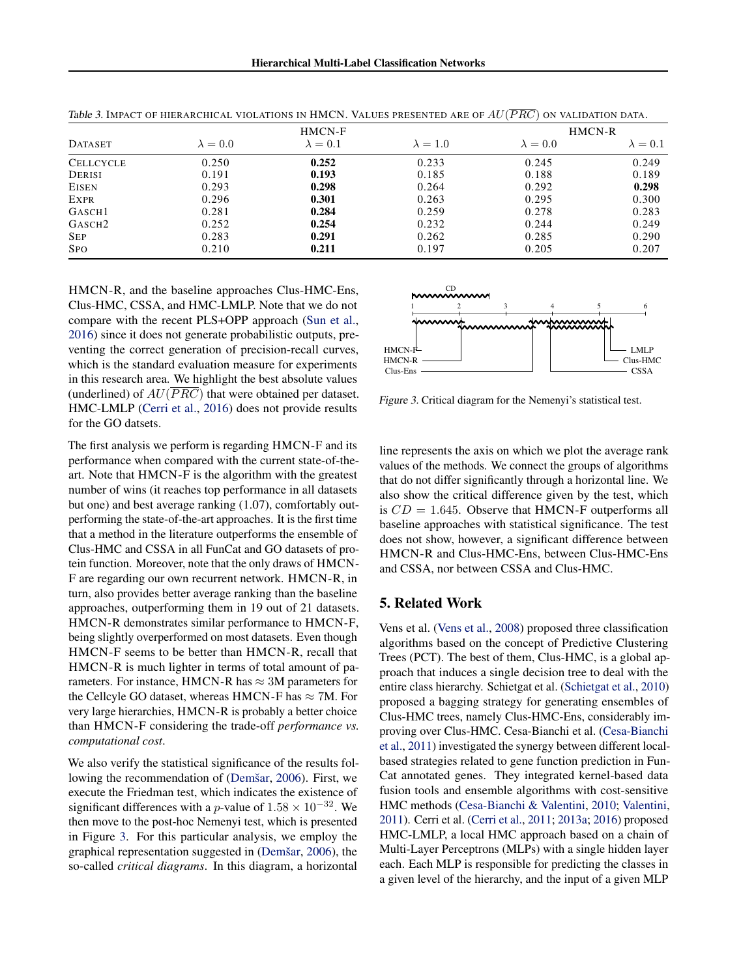|                    |                 | HMCN-F          |                 | HMCN-R          |               |
|--------------------|-----------------|-----------------|-----------------|-----------------|---------------|
| <b>DATASET</b>     | $\lambda = 0.0$ | $\lambda = 0.1$ | $\lambda = 1.0$ | $\lambda = 0.0$ | $\lambda=0.1$ |
| <b>CELLCYCLE</b>   | 0.250           | 0.252           | 0.233           | 0.245           | 0.249         |
| DERISI             | 0.191           | 0.193           | 0.185           | 0.188           | 0.189         |
| <b>EISEN</b>       | 0.293           | 0.298           | 0.264           | 0.292           | 0.298         |
| <b>EXPR</b>        | 0.296           | 0.301           | 0.263           | 0.295           | 0.300         |
| GASCH <sub>1</sub> | 0.281           | 0.284           | 0.259           | 0.278           | 0.283         |
| GASCH <sub>2</sub> | 0.252           | 0.254           | 0.232           | 0.244           | 0.249         |
| <b>SEP</b>         | 0.283           | 0.291           | 0.262           | 0.285           | 0.290         |
| <b>SPO</b>         | 0.210           | 0.211           | 0.197           | 0.205           | 0.207         |

<span id="page-6-0"></span>Table 3. IMPACT OF HIERARCHICAL VIOLATIONS IN HMCN. VALUES PRESENTED ARE OF *AU*(*P RC*) ON VALIDATION DATA.

HMCN-R, and the baseline approaches Clus-HMC-Ens, Clus-HMC, CSSA, and HMC-LMLP. Note that we do not compare with the recent PLS+OPP approach [\(Sun et al.,](#page-9-0) [2016\)](#page-9-0) since it does not generate probabilistic outputs, preventing the correct generation of precision-recall curves, which is the standard evaluation measure for experiments in this research area. We highlight the best absolute values (underlined) of *AU*(*P RC*) that were obtained per dataset. HMC-LMLP [\(Cerri et al.,](#page-8-0) [2016\)](#page-8-0) does not provide results for the GO datsets.

The first analysis we perform is regarding HMCN-F and its performance when compared with the current state-of-theart. Note that HMCN-F is the algorithm with the greatest number of wins (it reaches top performance in all datasets but one) and best average ranking (1.07), comfortably outperforming the state-of-the-art approaches. It is the first time that a method in the literature outperforms the ensemble of Clus-HMC and CSSA in all FunCat and GO datasets of protein function. Moreover, note that the only draws of HMCN-F are regarding our own recurrent network. HMCN-R, in turn, also provides better average ranking than the baseline approaches, outperforming them in 19 out of 21 datasets. HMCN-R demonstrates similar performance to HMCN-F, being slightly overperformed on most datasets. Even though HMCN-F seems to be better than HMCN-R, recall that HMCN-R is much lighter in terms of total amount of parameters. For instance, HMCN-R has  $\approx 3M$  parameters for the Cellcyle GO dataset, whereas HMCN-F has  $\approx 7$ M. For very large hierarchies, HMCN-R is probably a better choice than HMCN-F considering the trade-off *performance vs. computational cost*.

We also verify the statistical significance of the results following the recommendation of [\(Demšar,](#page-8-0) [2006\)](#page-8-0). First, we execute the Friedman test, which indicates the existence of significant differences with a *p*-value of  $1.58 \times 10^{-32}$ . We then move to the post-hoc Nemenyi test, which is presented in Figure 3. For this particular analysis, we employ the graphical representation suggested in [\(Demšar,](#page-8-0) [2006\)](#page-8-0), the so-called *critical diagrams*. In this diagram, a horizontal



Figure 3. Critical diagram for the Nemenyi's statistical test.

line represents the axis on which we plot the average rank values of the methods. We connect the groups of algorithms that do not differ significantly through a horizontal line. We also show the critical difference given by the test, which is  $CD = 1.645$ . Observe that HMCN-F outperforms all baseline approaches with statistical significance. The test does not show, however, a significant difference between HMCN-R and Clus-HMC-Ens, between Clus-HMC-Ens and CSSA, nor between CSSA and Clus-HMC.

## 5. Related Work

Vens et al. [\(Vens et al.,](#page-9-0) [2008\)](#page-9-0) proposed three classification algorithms based on the concept of Predictive Clustering Trees (PCT). The best of them, Clus-HMC, is a global approach that induces a single decision tree to deal with the entire class hierarchy. Schietgat et al. [\(Schietgat et al.,](#page-9-0) [2010\)](#page-9-0) proposed a bagging strategy for generating ensembles of Clus-HMC trees, namely Clus-HMC-Ens, considerably improving over Clus-HMC. Cesa-Bianchi et al. [\(Cesa-Bianchi](#page-8-0) [et al.,](#page-8-0) [2011\)](#page-8-0) investigated the synergy between different localbased strategies related to gene function prediction in Fun-Cat annotated genes. They integrated kernel-based data fusion tools and ensemble algorithms with cost-sensitive HMC methods [\(Cesa-Bianchi & Valentini,](#page-8-0) [2010;](#page-8-0) [Valentini,](#page-9-0) [2011\)](#page-9-0). Cerri et al. [\(Cerri et al.,](#page-8-0) [2011;](#page-8-0) [2013a;](#page-8-0) [2016\)](#page-8-0) proposed HMC-LMLP, a local HMC approach based on a chain of Multi-Layer Perceptrons (MLPs) with a single hidden layer each. Each MLP is responsible for predicting the classes in a given level of the hierarchy, and the input of a given MLP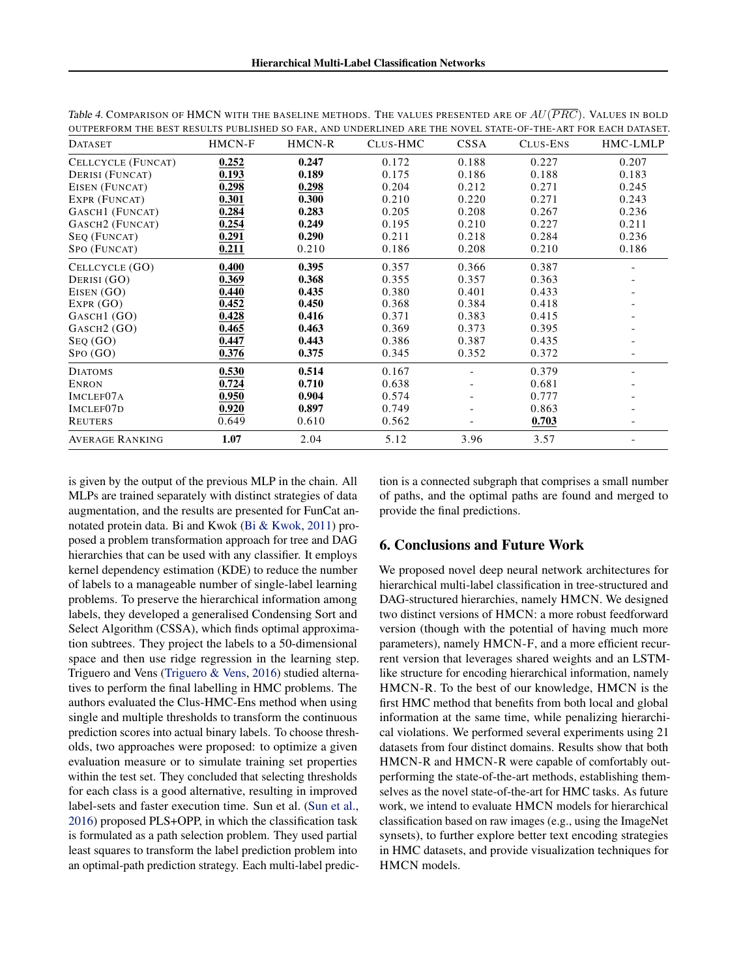| <b>DATASET</b>              | HMCN-F | HMCN-R | CLUS-HMC | <b>CSSA</b>              | CLUS-ENS | HMC-LMLP |
|-----------------------------|--------|--------|----------|--------------------------|----------|----------|
| CELLCYCLE (FUNCAT)          | 0.252  | 0.247  | 0.172    | 0.188                    | 0.227    | 0.207    |
| <b>DERISI</b> (FUNCAT)      | 0.193  | 0.189  | 0.175    | 0.186                    | 0.188    | 0.183    |
| EISEN (FUNCAT)              | 0.298  | 0.298  | 0.204    | 0.212                    | 0.271    | 0.245    |
| EXPR (FUNCAT)               | 0.301  | 0.300  | 0.210    | 0.220                    | 0.271    | 0.243    |
| GASCH1 (FUNCAT)             | 0.284  | 0.283  | 0.205    | 0.208                    | 0.267    | 0.236    |
| GASCH <sub>2</sub> (FUNCAT) | 0.254  | 0.249  | 0.195    | 0.210                    | 0.227    | 0.211    |
| SEQ (FUNCAT)                | 0.291  | 0.290  | 0.211    | 0.218                    | 0.284    | 0.236    |
| SPO (FUNCAT)                | 0.211  | 0.210  | 0.186    | 0.208                    | 0.210    | 0.186    |
| CELLCYCLE (GO)              | 0.400  | 0.395  | 0.357    | 0.366                    | 0.387    |          |
| DERISI (GO)                 | 0.369  | 0.368  | 0.355    | 0.357                    | 0.363    |          |
| EISEN (GO)                  | 0.440  | 0.435  | 0.380    | 0.401                    | 0.433    |          |
| EXPR(GO)                    | 0.452  | 0.450  | 0.368    | 0.384                    | 0.418    |          |
| GASCH1 (GO)                 | 0.428  | 0.416  | 0.371    | 0.383                    | 0.415    |          |
| GASCH <sub>2</sub> (GO)     | 0.465  | 0.463  | 0.369    | 0.373                    | 0.395    |          |
| Step (GO)                   | 0.447  | 0.443  | 0.386    | 0.387                    | 0.435    |          |
| SPO(GO)                     | 0.376  | 0.375  | 0.345    | 0.352                    | 0.372    |          |
| <b>DIATOMS</b>              | 0.530  | 0.514  | 0.167    |                          | 0.379    |          |
| <b>ENRON</b>                | 0.724  | 0.710  | 0.638    | $\qquad \qquad -$        | 0.681    |          |
| IMCLEF07A                   | 0.950  | 0.904  | 0.574    | $\overline{\phantom{a}}$ | 0.777    |          |
| IMCLEF <sub>07D</sub>       | 0.920  | 0.897  | 0.749    | $\overline{\phantom{a}}$ | 0.863    |          |
| <b>REUTERS</b>              | 0.649  | 0.610  | 0.562    |                          | 0.703    |          |
| <b>AVERAGE RANKING</b>      | 1.07   | 2.04   | 5.12     | 3.96                     | 3.57     |          |

<span id="page-7-0"></span>Table 4. COMPARISON OF HMCN WITH THE BASELINE METHODS. THE VALUES PRESENTED ARE OF *AU*(*P RC*). VALUES IN BOLD OUTPERFORM THE BEST RESULTS PUBLISHED SO FAR, AND UNDERLINED ARE THE NOVEL STATE-OF-THE-ART FOR EACH DATASET.

is given by the output of the previous MLP in the chain. All MLPs are trained separately with distinct strategies of data augmentation, and the results are presented for FunCat annotated protein data. Bi and Kwok [\(Bi & Kwok,](#page-8-0) [2011\)](#page-8-0) proposed a problem transformation approach for tree and DAG hierarchies that can be used with any classifier. It employs kernel dependency estimation (KDE) to reduce the number of labels to a manageable number of single-label learning problems. To preserve the hierarchical information among labels, they developed a generalised Condensing Sort and Select Algorithm (CSSA), which finds optimal approximation subtrees. They project the labels to a 50-dimensional space and then use ridge regression in the learning step. Triguero and Vens [\(Triguero & Vens,](#page-9-0) [2016\)](#page-9-0) studied alternatives to perform the final labelling in HMC problems. The authors evaluated the Clus-HMC-Ens method when using single and multiple thresholds to transform the continuous prediction scores into actual binary labels. To choose thresholds, two approaches were proposed: to optimize a given evaluation measure or to simulate training set properties within the test set. They concluded that selecting thresholds for each class is a good alternative, resulting in improved label-sets and faster execution time. Sun et al. [\(Sun et al.,](#page-9-0) [2016\)](#page-9-0) proposed PLS+OPP, in which the classification task is formulated as a path selection problem. They used partial least squares to transform the label prediction problem into an optimal-path prediction strategy. Each multi-label prediction is a connected subgraph that comprises a small number of paths, and the optimal paths are found and merged to provide the final predictions.

#### 6. Conclusions and Future Work

We proposed novel deep neural network architectures for hierarchical multi-label classification in tree-structured and DAG-structured hierarchies, namely HMCN. We designed two distinct versions of HMCN: a more robust feedforward version (though with the potential of having much more parameters), namely HMCN-F, and a more efficient recurrent version that leverages shared weights and an LSTMlike structure for encoding hierarchical information, namely HMCN-R. To the best of our knowledge, HMCN is the first HMC method that benefits from both local and global information at the same time, while penalizing hierarchical violations. We performed several experiments using 21 datasets from four distinct domains. Results show that both HMCN-R and HMCN-R were capable of comfortably outperforming the state-of-the-art methods, establishing themselves as the novel state-of-the-art for HMC tasks. As future work, we intend to evaluate HMCN models for hierarchical classification based on raw images (e.g., using the ImageNet synsets), to further explore better text encoding strategies in HMC datasets, and provide visualization techniques for HMCN models.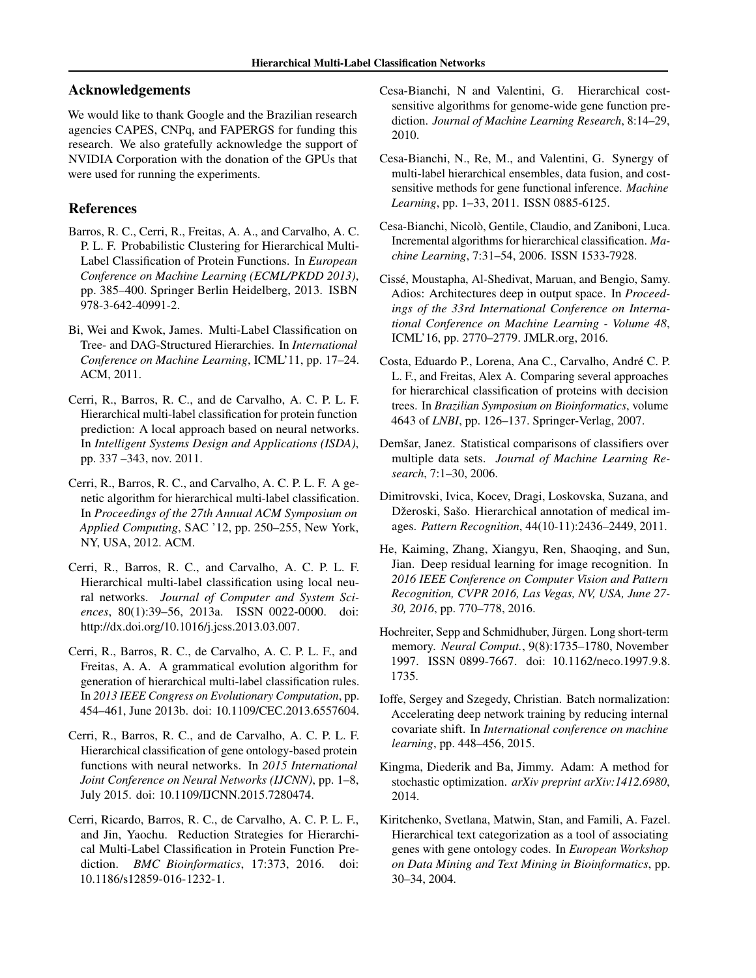# <span id="page-8-0"></span>Acknowledgements

We would like to thank Google and the Brazilian research agencies CAPES, CNPq, and FAPERGS for funding this research. We also gratefully acknowledge the support of NVIDIA Corporation with the donation of the GPUs that were used for running the experiments.

## References

- Barros, R. C., Cerri, R., Freitas, A. A., and Carvalho, A. C. P. L. F. Probabilistic Clustering for Hierarchical Multi-Label Classification of Protein Functions. In *European Conference on Machine Learning (ECML/PKDD 2013)*, pp. 385–400. Springer Berlin Heidelberg, 2013. ISBN 978-3-642-40991-2.
- Bi, Wei and Kwok, James. Multi-Label Classification on Tree- and DAG-Structured Hierarchies. In *International Conference on Machine Learning*, ICML'11, pp. 17–24. ACM, 2011.
- Cerri, R., Barros, R. C., and de Carvalho, A. C. P. L. F. Hierarchical multi-label classification for protein function prediction: A local approach based on neural networks. In *Intelligent Systems Design and Applications (ISDA)*, pp. 337 –343, nov. 2011.
- Cerri, R., Barros, R. C., and Carvalho, A. C. P. L. F. A genetic algorithm for hierarchical multi-label classification. In *Proceedings of the 27th Annual ACM Symposium on Applied Computing*, SAC '12, pp. 250–255, New York, NY, USA, 2012. ACM.
- Cerri, R., Barros, R. C., and Carvalho, A. C. P. L. F. Hierarchical multi-label classification using local neural networks. *Journal of Computer and System Sciences*, 80(1):39–56, 2013a. ISSN 0022-0000. doi: http://dx.doi.org/10.1016/j.jcss.2013.03.007.
- Cerri, R., Barros, R. C., de Carvalho, A. C. P. L. F., and Freitas, A. A. A grammatical evolution algorithm for generation of hierarchical multi-label classification rules. In *2013 IEEE Congress on Evolutionary Computation*, pp. 454–461, June 2013b. doi: 10.1109/CEC.2013.6557604.
- Cerri, R., Barros, R. C., and de Carvalho, A. C. P. L. F. Hierarchical classification of gene ontology-based protein functions with neural networks. In *2015 International Joint Conference on Neural Networks (IJCNN)*, pp. 1–8, July 2015. doi: 10.1109/IJCNN.2015.7280474.
- Cerri, Ricardo, Barros, R. C., de Carvalho, A. C. P. L. F., and Jin, Yaochu. Reduction Strategies for Hierarchical Multi-Label Classification in Protein Function Prediction. *BMC Bioinformatics*, 17:373, 2016. doi: 10.1186/s12859-016-1232-1.
- Cesa-Bianchi, N and Valentini, G. Hierarchical costsensitive algorithms for genome-wide gene function prediction. *Journal of Machine Learning Research*, 8:14–29, 2010.
- Cesa-Bianchi, N., Re, M., and Valentini, G. Synergy of multi-label hierarchical ensembles, data fusion, and costsensitive methods for gene functional inference. *Machine Learning*, pp. 1–33, 2011. ISSN 0885-6125.
- Cesa-Bianchi, Nicolò, Gentile, Claudio, and Zaniboni, Luca. Incremental algorithms for hierarchical classification. *Machine Learning*, 7:31–54, 2006. ISSN 1533-7928.
- Cissé, Moustapha, Al-Shedivat, Maruan, and Bengio, Samy. Adios: Architectures deep in output space. In *Proceedings of the 33rd International Conference on International Conference on Machine Learning - Volume 48*, ICML'16, pp. 2770–2779. JMLR.org, 2016.
- Costa, Eduardo P., Lorena, Ana C., Carvalho, André C. P. L. F., and Freitas, Alex A. Comparing several approaches for hierarchical classification of proteins with decision trees. In *Brazilian Symposium on Bioinformatics*, volume 4643 of *LNBI*, pp. 126–137. Springer-Verlag, 2007.
- Demšar, Janez. Statistical comparisons of classifiers over multiple data sets. *Journal of Machine Learning Research*, 7:1–30, 2006.
- Dimitrovski, Ivica, Kocev, Dragi, Loskovska, Suzana, and Džeroski, Sašo. Hierarchical annotation of medical images. *Pattern Recognition*, 44(10-11):2436–2449, 2011.
- He, Kaiming, Zhang, Xiangyu, Ren, Shaoqing, and Sun, Jian. Deep residual learning for image recognition. In *2016 IEEE Conference on Computer Vision and Pattern Recognition, CVPR 2016, Las Vegas, NV, USA, June 27- 30, 2016*, pp. 770–778, 2016.
- Hochreiter, Sepp and Schmidhuber, Jürgen. Long short-term memory. *Neural Comput.*, 9(8):1735–1780, November 1997. ISSN 0899-7667. doi: 10.1162/neco.1997.9.8. 1735.
- Ioffe, Sergey and Szegedy, Christian. Batch normalization: Accelerating deep network training by reducing internal covariate shift. In *International conference on machine learning*, pp. 448–456, 2015.
- Kingma, Diederik and Ba, Jimmy. Adam: A method for stochastic optimization. *arXiv preprint arXiv:1412.6980*, 2014.
- Kiritchenko, Svetlana, Matwin, Stan, and Famili, A. Fazel. Hierarchical text categorization as a tool of associating genes with gene ontology codes. In *European Workshop on Data Mining and Text Mining in Bioinformatics*, pp. 30–34, 2004.